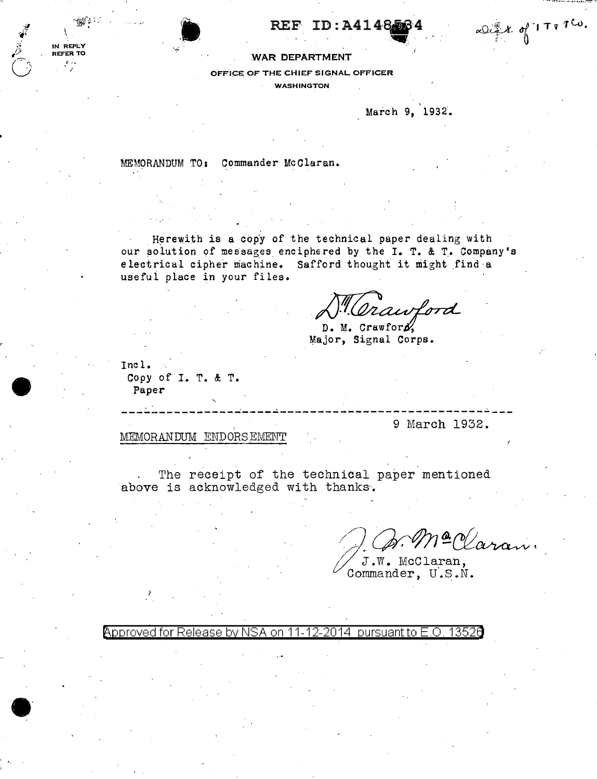$REF$  ID: A4148.56



OFFICE OF THE CHIEF SIGNAL OFFICER

WASHINGTON

March 9, 1932.

~.

.J

 $\alpha$   $\alpha$   $\beta$   $\gamma$   $\gamma$   $\tau$   $\gamma$   $\alpha$ .

MEMORANDUM TO: Commander McClaran.

 $\tilde{\,}$ 

' **''** ''

Herewith is a copy of the technical paper dealing with our solution of messages enciphered by the I. T. & T. Company's electrical cipher machine. Safford thought it might find a useful place in your files.

fford thought it might find a<br> *M. Crawford*<br> **D. M. Crawford,**<br>
Major, Signal Corps.

Inc 1. Copy of I. T. & T. Paper

*·J*   $\cdot$ lJ  $\tilde{\mathbb{C}}$   $-1.0011117$ ~ ~· ~  $\mathbb{R}^{n+1}$ 

IN REPLY REFER TO

 $\bullet$ 

. . ' . ---------------------------------------------------- 9 March 1932.

MEMORANDUM ENDORSEMENT

The receipt of the technical paper mentioned above is acknowledged with thanks.

2 *Waran*.

J.W. McClaran, Commander, U.S.N.

Approved for Release by NSA on 11-12-2014 pursuant to E.O. 1352a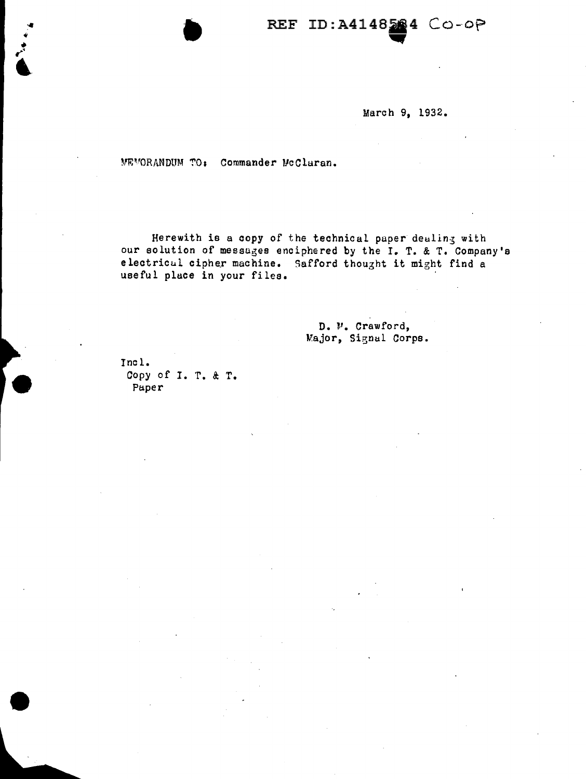## REF ID:A4148284 CO-OP

March 9, 1932.

MEMORANDUM TO: Commander McClaran.

Herewith is a copy of the technical paper dealing with our solution of messages enciphered by the I. T. & T. Company's electrical cipher machine. Safford thought it might find a useful place in your files.

> D. W. Crawford, Major, Signal Corps.

Incl. Copy of I. T. & T. Paper